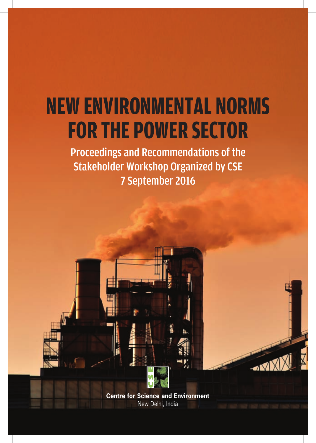# **NEW ENVIRONMENTAL NORMS FOR THE POWER SECTOR**

Proceedings and Recommendations of the Stakeholder Workshop Organized by CSE 7 September 2016

> **Centre for Science and Environment** New Delhi, India

 $\sim$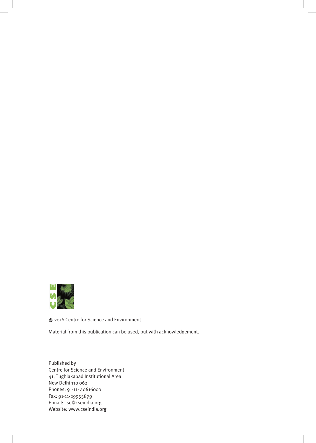

© 2016 Centre for Science and Environment

Material from this publication can be used, but with acknowledgement.

Published by Centre for Science and Environment 41, Tughlakabad Institutional Area New Delhi 110 062 Phones: 91-11- 40616000 Fax: 91-11-29955879 E-mail: cse@cseindia.org Website: www.cseindia.org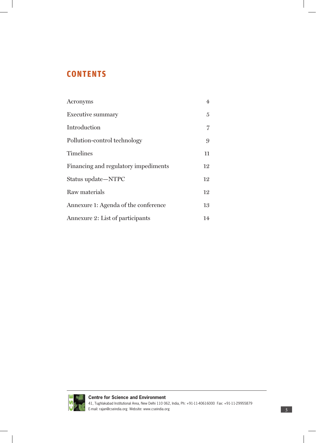# **CONTENTS**

| Acronyms                             | $\overline{4}$ |
|--------------------------------------|----------------|
| <b>Executive summary</b>             | $\overline{5}$ |
| Introduction                         | 7              |
| Pollution-control technology         | 9              |
| <b>Timelines</b>                     | 11             |
| Financing and regulatory impediments | 12             |
| Status update-NTPC                   | 12             |
| Raw materials                        | 12             |
| Annexure 1: Agenda of the conference | 13             |
| Annexure 2: List of participants     | 14             |

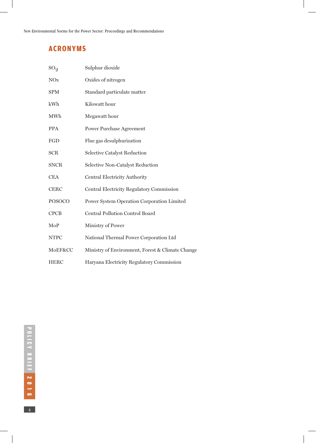# **ACRONYMS**

| SO <sub>2</sub> | Sulphur dioxide                                  |
|-----------------|--------------------------------------------------|
| <b>NO</b> x     | Oxides of nitrogen                               |
| <b>SPM</b>      | Standard particulate matter                      |
| kWh             | Kilowatt hour                                    |
| MWh             | Megawatt hour                                    |
| <b>PPA</b>      | <b>Power Purchase Agreement</b>                  |
| FGD             | Flue gas desulphurization                        |
| <b>SCR</b>      | Selective Catalyst Reduction                     |
| <b>SNCR</b>     | Selective Non-Catalyst Reduction                 |
| <b>CEA</b>      | Central Electricity Authority                    |
| <b>CERC</b>     | <b>Central Electricity Regulatory Commission</b> |
| <b>POSOCO</b>   | Power System Operation Corporation Limited       |
| <b>CPCB</b>     | <b>Central Pollution Control Board</b>           |
| MoP             | Ministry of Power                                |
| <b>NTPC</b>     | National Thermal Power Corporation Ltd           |
| MoEF&CC         | Ministry of Environment, Forest & Climate Change |
| <b>HERC</b>     | Haryana Electricity Regulatory Commission        |

 $\frac{4}{4}$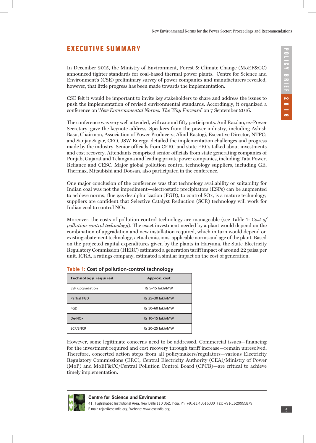## **EXECUTIVE SUMMARY**

In December 2015, the Ministry of Environment, Forest & Climate Change (MoEF&CC) announced tighter standards for coal-based thermal power plants. Centre for Science and Environment's (CSE) preliminary survey of power companies and manufacturers revealed, however, that little progress has been made towards the implementation.

CSE felt it would be important to invite key stakeholders to share and address the issues to push the implementation of revised environmental standards. Accordingly, it organized a conference on '*New Environmental Norms: The Way Forward*' on 7 September 2016.

The conference was very well attended, with around fifty participants. Anil Razdan, ex-Power Secretary, gave the keynote address. Speakers from the power industry, including Ashish Basu, Chairman, Association of Power Producers; Alind Rastogi, Executive Director, NTPC; and Sanjay Sagar, CEO, JSW Energy, detailed the implementation challenges and progress made by the industry. Senior officials from CERC and state ERCs talked about investments and cost recovery. Attendants comprised senior officials from state generating companies of Punjab, Gujarat and Telangana and leading private power companies, including Tata Power, Reliance and CESC. Major global pollution control technology suppliers, including GE, Thermax, Mitsubishi and Doosan, also participated in the conference.

One major conclusion of the conference was that technology availability or suitability for Indian coal was not the impediment—electrostatic precipitators (ESPs) can be augmented to achieve norms; flue gas desulphurization (FGD), to control SOx, is a mature technology; suppliers are confident that Selective Catalyst Reduction (SCR) technology will work for Indian coal to control NOx.

Moreover, the costs of pollution control technology are manageable (see Table 1: *Cost of pollution-control technology*). The exact investment needed by a plant would depend on the combination of upgradation and new installation required, which in turn would depend on existing abatement technology, actual emissions, applicable norms and age of the plant. Based on the projected capital expenditures given by the plants in Haryana, the State Electricity Regulatory Commission (HERC) estimated a generation tariff impact of around 22 paisa per unit. ICRA, a ratings company, estimated a similar impact on the cost of generation.

| --                         |                     |  |
|----------------------------|---------------------|--|
| <b>Technology required</b> | <b>Approx.</b> cost |  |
| ESP upgradation            | Rs 5-15 lakh/MW     |  |
| <b>Partial FGD</b>         | Rs 25-30 lakh/MW    |  |
| FGD                        | Rs 50-60 lakh/MW    |  |
| De-NO <sub>x</sub>         | Rs 10-15 lakh/MW    |  |
| <b>SCR/SNCR</b>            | Rs 20-25 lakh/MW    |  |

|  | Table 1: Cost of pollution-control technology |  |
|--|-----------------------------------------------|--|
|--|-----------------------------------------------|--|

However, some legitimate concerns need to be addressed. Commercial issues—financing for the investment required and cost recovery through tariff increase—remain unresolved. Therefore, concerted action steps from all policymakers/regulators—various Electricity Regulatory Commissions (ERC), Central Electricity Authority (CEA)/Ministry of Power (MoP) and MoEF&CC/Central Pollution Control Board (CPCB)—are critical to achieve timely implementation.

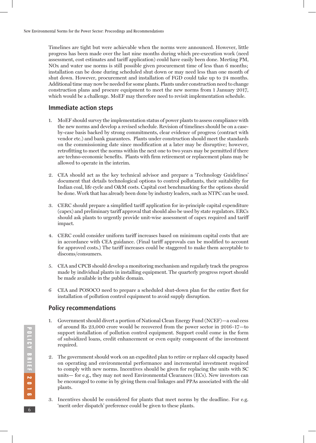Timelines are tight but were achievable when the norms were announced. However, little progress has been made over the last nine months during which pre-execution work (need assessment, cost estimates and tariff application) could have easily been done. Meeting PM, NOx and water use norms is still possible given procurement time of less than 6 months; installation can be done during scheduled shut down or may need less than one month of shut down. However, procurement and installation of FGD could take up to 24 months. Additional time may now be needed for some plants. Plants under construction need to change construction plans and procure equipment to meet the new norms from 1 January 2017, which would be a challenge. MoEF may therefore need to revisit implementation schedule.

#### **Immediate action steps**

- 1. MoEF should survey the implementation status of power plants to assess compliance with the new norms and develop a revised schedule. Revision of timelines should be on a caseby-case basis backed by strong commitments, clear evidence of progress (contract with vendor etc.) and bank guarantees. Plants under construction should meet the standards on the commissioning date since modification at a later may be disruptive; however, retrofitting to meet the norms within the next one to two years may be permitted if there are techno-economic benefits. Plants with firm retirement or replacement plans may be allowed to operate in the interim.
- 2. CEA should act as the key technical advisor and prepare a 'Technology Guidelines' document that details technological options to control pollutants, their suitability for Indian coal, life cycle and O&M costs. Capital cost benchmarking for the options should be done. Work that has already been done by industry leaders, such as NTPC can be used.
- 3. CERC should prepare a simplified tariff application for in-principle capital expenditure (capex) and preliminary tariff approval that should also be used by state regulators. ERCs should ask plants to urgently provide unit-wise assessment of capex required and tariff impact.
- 4. CERC could consider uniform tariff increases based on minimum capital costs that are in accordance with CEA guidance. (Final tariff approvals can be modified to account for approved costs.) The tariff increases could be staggered to make them acceptable to discoms/consumers.
- 5. CEA and CPCB should develop a monitoring mechanism and regularly track the progress made by individual plants in installing equipment. The quarterly progress report should be made available in the public domain.
- 6 CEA and POSOCO need to prepare a scheduled shut-down plan for the entire fleet for installation of pollution control equipment to avoid supply disruption.

#### **Policy recommendations**

- 1. Government should divert a portion of National Clean Energy Fund (NCEF)—a coal cess of around Rs 23,000 crore would be recovered from the power sector in 2016–17—to support installation of pollution control equipment. Support could come in the form of subsidized loans, credit enhancement or even equity component of the investment required.
- 2. The government should work on an expedited plan to retire or replace old capacity based on operating and environmental performance and incremental investment required to comply with new norms. Incentives should be given for replacing the units with SC units— for e.g., they may not need Environmental Clearances (ECs). New investors can be encouraged to come in by giving them coal linkages and PPAs associated with the old plants.
- 3. Incentives should be considered for plants that meet norms by the deadline. For e.g. 'merit order dispatch' preference could be given to these plants.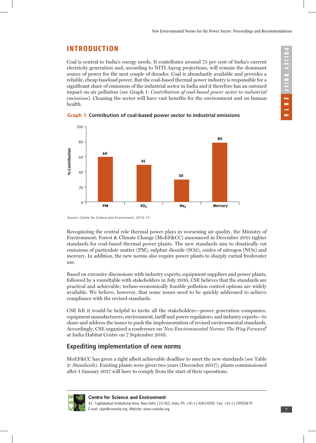# **INTRODUCTION**

Coal is central to India's energy needs. It contributes around 75 per cent of India's current electricity generation and, according to NITI Aayog projections, will remain the dominant source of power for the next couple of decades. Coal is abundantly available and provides a reliable, cheap baseload power. But the coal-based thermal power industry is responsible for a significant share of emissions of the industrial sector in India and it therefore has an outsized impact on air pollution (see Graph 1: *Contribution of coal-based power sector to industrial emissions*). Cleaning the sector will have vast benefits for the environment and on human health.





*Source: Centre for Science and Environment, 2014–15*

Recognizing the central role thermal power plays in worsening air quality, the Ministry of Environment, Forest & Climate Change (MoEF&CC) announced in December 2015 tighter standards for coal-based thermal power plants. The new standards aim to drastically cut emissions of particulate matter (PM), sulphur dioxide (SO2), oxides of nitrogen (NOx) and mercury. In addition, the new norms also require power plants to sharply curtail freshwater use.

Based on extensive discussions with industry experts, equipment suppliers and power plants, followed by a roundtable with stakeholders in July 2016, CSE believes that the standards are practical and achievable; techno-economically feasible pollution control options are widely available. We believe, however, that some issues need to be quickly addressed to achieve compliance with the revised standards.

CSE felt it would be helpful to invite all the stakeholders—power generation companies; equipment manufacturers; environment, tariff and power regulators; and industry experts—to share and address the issues to push the implementation of revised environmental standards. Accordingly, CSE organized a conference on '*New Environmental Norms: The Way Forward*' at India Habitat Centre on 7 September 2016.

## **Expediting implementation of new norms**

MoEF&CC has given a tight albeit achievable deadline to meet the new standards (see Table 2: *Standards*). Existing plants were given two years (December 2017); plants commissioned after 1 January 2017 will have to comply from the start of their operations.

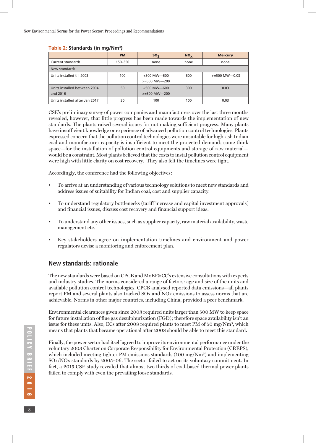#### **Table 2: Standards (in mg/Nm3)**

|                                          | <b>PM</b> | SO <sub>2</sub>                   | $NO_{x}$ | <b>Mercury</b>   |
|------------------------------------------|-----------|-----------------------------------|----------|------------------|
| Current standards                        | 150-350   | none                              | none     | none             |
| New standards                            |           |                                   |          |                  |
| Units installed till 2003                | 100       | $<$ 500 MW-600<br>$>=$ 500 MW-200 | 600      | $>=$ 500 MW-0.03 |
| Units installed between 2004<br>and 2016 | 50        | $<$ 500 MW-600<br>$>=$ 500 MW-200 | 300      | 0.03             |
| Units installed after Jan 2017           | 30        | 100                               | 100      | 0.03             |

CSE's preliminary survey of power companies and manufacturers over the last three months revealed, however, that little progress has been made towards the implementation of new standards. The plants raised several issues for not making sufficient progress. Many plants have insufficient knowledge or experience of advanced pollution control technologies. Plants expressed concern that the pollution control technologies were unsuitable for high-ash Indian coal and manufacturer capacity is insufficient to meet the projected demand; some think space—for the installation of pollution control equipments and storage of raw material would be a constraint. Most plants believed that the costs to instal pollution control equipment were high with little clarity on cost recovery. They also felt the timelines were tight.

Accordingly, the conference had the following objectives:

- To arrive at an understanding of various technology solutions to meet new standards and address issues of suitability for Indian coal, cost and supplier capacity.
- To understand regulatory bottlenecks (tariff increase and capital investment approvals) and financial issues, discuss cost recovery and financial support ideas.
- To understand any other issues, such as supplier capacity, raw material availability, waste management etc.
- Key stakeholders agree on implementation timelines and environment and power regulators devise a monitoring and enforcement plan.

#### **New standards: rationale**

The new standards were based on CPCB and MoEF&CC's extensive consultations with experts and industry studies. The norms considered a range of factors: age and size of the units and available pollution control technologies. CPCB analysed reported data emissions—all plants report PM and several plants also tracked SOx and NOx emissions to assess norms that are achievable. Norms in other major countries, including China, provided a peer benchmark.

Environmental clearances given since 2003 required units larger than 500 MW to keep space for future installation of flue gas desulphurization (FGD); therefore space availability isn't an issue for these units. Also, ECs after 2008 required plants to meet PM of 50 mg/Nm3, which means that plants that became operational after 2008 should be able to meet this standard.

Finally, the power sector had itself agreed to improve its environmental performance under the voluntary 2003 Charter on Corporate Responsibility for Environmental Protection (CREPS), which included meeting tighter PM emissions standards (100 mg/ $Nm<sup>3</sup>$ ) and implementing SOx/NOx standards by 2005–06. The sector failed to act on its voluntary commitment. In fact, a 2015 CSE study revealed that almost two thirds of coal-based thermal power plants failed to comply with even the prevailing loose standards.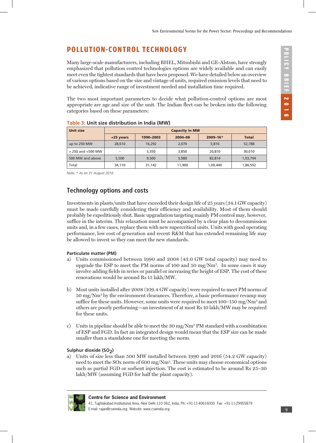# **POLLUTION-CONTROL TECHNOLOGY**

Many large-scale manufacturers, including BHEL, Mitsubishi and GE-Alstom, have strongly emphasized that pollution control technologies options are widely available and can easily meet even the tightest standards that have been proposed. We have detailed below an overview of various options based on the size and vintage of units, required emission levels that need to be achieved, indicative range of investment needed and installation time required.

The two most important parameters to decide what pollution-control options are most appropriate are age and size of the unit. The Indian fleet can be broken into the following categories based on these parameters:

| <b>Unit size</b>       | <b>Capacity in MW</b> |           |         |              |              |
|------------------------|-----------------------|-----------|---------|--------------|--------------|
|                        | +25 years             | 1990-2003 | 2004-08 | $2009 - 16*$ | <b>Total</b> |
| up to 250 MW           | 28,610                | 16,292    | 2.070   | 5,816        | 52,788       |
| $>$ 250 and $<$ 500 MW | -                     | 5,350     | 3,850   | 20,810       | 30,010       |
| 500 MW and above       | 5,500                 | 9.500     | 5.980   | 82,814       | 1,03,794     |
| Total                  | 34,110                | 31,142    | 11,900  | 1,09,440     | 1,86,592     |

#### **Table 3: Unit size distribution in India (MW)**

*Note: \* As on 31 August 2016*

## **Technology options and costs**

Investments in plants/units that have exceeded their design life of 25 years (34.1 GW capacity) must be made carefully considering their efficiency and availability. Most of them should probably be expeditiously shut. Basic upgradation targeting mainly PM control may, however, suffice in the interim. This relaxation must be accompanied by a clear plan to decommission units and, in a few cases, replace them with new supercritical units. Units with good operating performance, low cost of generation and recent R&M that has extended remaining life may be allowed to invest so they can meet the new standards.

#### **Particulate matter (PM)**

- a) Units commissioned between 1990 and 2008 (43.0 GW total capacity) may need to upgrade the ESP to meet the PM norms of 100 and 50 mg/Nm<sup>3</sup>. In some cases it may involve adding fields in series or parallel or increasing the height of ESP. The cost of these renovations would be around Rs 15 lakh/MW.
- b) Most units installed after 2008 (109.4 GW capacity) were required to meet PM norms of 50 mg/Nm3 by the environment clearances. Therefore, a basic performance revamp may suffice for these units. However, some units were required to meet 100–150 mg/Nm<sup>3</sup> and others are poorly performing—an investment of at most Rs 10 lakh/MW may be required for these units.
- c) Units in pipeline should be able to meet the  $30 \text{ mg}/\text{Nm}^3$  PM standard with a combination of ESP and FGD. In fact an integrated design would mean that the ESP size can be made smaller than a standalone one for meeting the norm.

#### Sulphur dioxide (SO<sub>2</sub>)

a) Units of size less than 500 MW installed between 1990 and 2016 (54.2 GW capacity) need to meet the SOx norm of 600 mg/Nm3. These units may choose economical options such as partial FGD or sorbent injection. The cost is estimated to be around Rs 25–30 lakh/MW (assuming FGD for half the plant capacity).

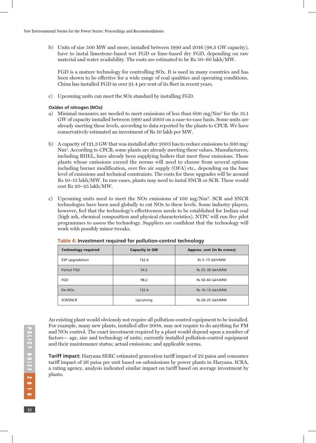b) Units of size 500 MW and more, installed between 1990 and 2016 (98.3 GW capacity), have to instal limestone-based wet FGD or lime-based dry FGD, depending on raw material and water availability. The costs are estimated to be Rs 50–60 lakh/MW.

FGD is a mature technology for controlling SOx. It is used in many countries and has been shown to be effective for a wide range of coal qualities and operating conditions. China has installed FGD in over 91.4 per cent of its fleet in recent years.

c) Upcoming units can meet the SOx standard by installing FGD.

#### **Oxides of nitrogen (NOx)**

- a) Minimal measures are needed to meet emissions of less than 600 mg/Nm3 for the 31.1 GW of capacity installed between 1990 and 2003 on a case-to-case basis. Some units are already meeting these levels, according to data reported by the plants to CPCB. We have conservatively estimated an investment of Rs 10 lakh per MW.
- b) A capacity of 121.3 GW that was installed after 2003 has to reduce emissions to 300 mg/ Nm3. According to CPCB, some plants are already meeting these values. Manufacturers, including BHEL, have already been supplying boilers that meet these emissions. Those plants whose emissions exceed the norms will need to choose from several options including burner modification, over fire air supply (OFA) etc., depending on the base level of emissions and technical constraints. The costs for these upgrades will be around Rs 10–15 lakh/MW. In rare cases, plants may need to instal SNCR or SCR. These would cost Rs 20–25 lakh/MW.
- c) Upcoming units need to meet the NOx emissions of 100 mg/Nm3. SCR and SNCR technologies have been used globally to cut NOx to these levels. Some industry players, however, feel that the technology's effectiveness needs to be established for Indian coal (high ash, chemical composition and physical characteristics). NTPC will run five pilot programmes to assess the technology. Suppliers are confident that the technology will work with possibly minor tweaks.

| <b>Technology required</b> | <b>Capacity in GW</b> | Approx. cost (in Rs crores) |
|----------------------------|-----------------------|-----------------------------|
| ESP upgradation            | 152.4                 | Rs 5-15 lakh/MW             |
| <b>Partial FGD</b>         | 54.2                  | Rs 25-30 lakh/MW            |
| FGD                        | 98.2                  | Rs 50-60 lakh/MW            |
| De-NO <sub>x</sub>         | 152.4                 | Rs 10-15 lakh/MW            |
| <b>SCR/SNCR</b>            | Upcoming              | Rs 20-25 lakh/MW            |

#### **Table 4: Investment required for pollution-control technology**

An existing plant would obviously not require all pollution-control equipment to be installed. For example, many new plants, installed after 2008, may not require to do anything for PM and NOx control. The exact investment required by a plant would depend upon a number of factors— age, size and technology of units; currently installed pollution-control equipment and their maintenance status; actual emissions; and applicable norms.

**Tariff impact:** Haryana SERC estimated generation tariff impact of 22 paisa and consumer tariff impact of 26 paisa per unit based on submissions by power plants in Haryana. ICRA, a rating agency, analysis indicated similar impact on tariff based on average investment by plants.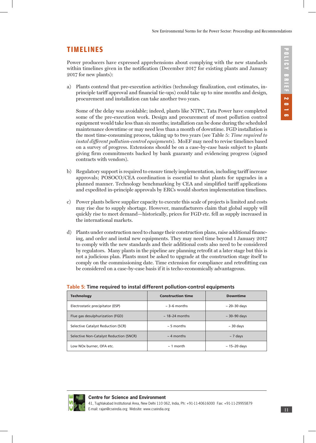## **TIMELINES**

Power producers have expressed apprehensions about complying with the new standards within timelines given in the notification (December 2017 for existing plants and January 2017 for new plants):

a) Plants contend that pre-execution activities (technology finalization, cost estimates, inprinciple tariff approval and financial tie-ups) could take up to nine months and design, procurement and installation can take another two years.

Some of the delay was avoidable; indeed, plants like NTPC, Tata Power have completed some of the pre-execution work. Design and procurement of most pollution control equipment would take less than six months; installation can be done during the scheduled maintenance downtime or may need less than a month of downtime. FGD installation is the most time-consuming process, taking up to two years (see Table 5: *Time required to instal different pollution-control equipments*). MoEF may need to revise timelines based on a survey of progress. Extensions should be on a case-by-case basis subject to plants giving firm commitments backed by bank guaranty and evidencing progress (signed contracts with vendors).

- b) Regulatory support is required to ensure timely implementation, including tariff increase approvals; POSOCO/CEA coordination is essential to shut plants for upgrades in a planned manner. Technology benchmarking by CEA and simplified tariff applications and expedited in-principle approvals by ERCs would shorten implementation timelines.
- c) Power plants believe supplier capacity to execute this scale of projects is limited and costs may rise due to supply shortage. However, manufacturers claim that global supply will quickly rise to meet demand—historically, prices for FGD etc. fell as supply increased in the international markets.
- d) Plants under construction need to change their construction plans, raise additional financing, and order and instal new equipments. They may need time beyond 1 January 2017 to comply with the new standards and their additional costs also need to be considered by regulators. Many plants in the pipeline are planning retrofit at a later stage but this is not a judicious plan. Plants must be asked to upgrade at the construction stage itself to comply on the commissioning date. Time extension for compliance and retrofitting can be considered on a case-by-case basis if it is techo-economically advantageous.

| <b>Technology</b>                       | <b>Construction time</b> | <b>Downtime</b>   |
|-----------------------------------------|--------------------------|-------------------|
| Electrostatic precipitator (ESP)        | $\approx$ 3–6 months     | $\sim$ 20–30 days |
| Flue gas desulphurization (FGD)         | $\sim$ 18–24 months      | $\sim$ 30-90 days |
| Selective Catalyst Reduction (SCR)      | $\sim$ 5 months          | $\sim$ 30 days    |
| Selective Non-Catalyst Reduction (SNCR) | $\sim$ 4 months          | $\sim$ 7 days     |
| Low NOx burner, OFA etc.                | $\sim$ 1 month           | $\sim$ 15–20 days |

#### **Table 5: Time required to instal different pollution-control equipments**

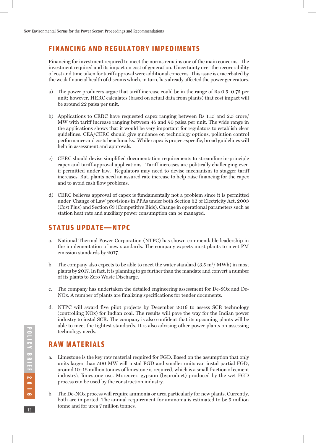## **FINANCING AND REGULATORY IMPEDIMENTS**

Financing for investment required to meet the norms remains one of the main concerns—the investment required and its impact on cost of generation. Uncertainty over the recoverability of cost and time taken for tariff approval were additional concerns. This issue is exacerbated by the weak financial health of discoms which, in turn, has already affected the power generators.

- a) The power producers argue that tariff increase could be in the range of Rs 0.5–0.75 per unit; however, HERC calculates (based on actual data from plants) that cost impact will be around 22 paisa per unit.
- b) Applications to CERC have requested capex ranging between Rs 1.15 and 2.5 crore/ MW with tariff increase ranging between 45 and 90 paisa per unit. The wide range in the applications shows that it would be very important for regulators to establish clear guidelines. CEA/CERC should give guidance on technology options, pollution control performance and costs benchmarks. While capex is project-specific, broad guidelines will help in assessment and approvals.
- c) CERC should devise simplified documentation requirements to streamline in-principle capex and tariff-approval applications. Tariff increases are politically challenging even if permitted under law. Regulators may need to devise mechanism to stagger tariff increases. But, plants need an assured rate increase to help raise financing for the capex and to avoid cash flow problems.
- d) CERC believes approval of capex is fundamentally not a problem since it is permitted under 'Change of Law' provisions in PPAs under both Section 62 of Electricity Act, 2003 (Cost Plus) and Section 63 (Competitive Bids). Change in operational parameters such as station heat rate and auxiliary power consumption can be managed.

## **STATUS UPDATE**—**NTPC**

- a. National Thermal Power Corporation (NTPC) has shown commendable leadership in the implementation of new standards. The company expects most plants to meet PM emission standards by 2017.
- b. The company also expects to be able to meet the water standard  $(3.5 \text{ m}^3/\text{MWh})$  in most plants by 2017. In fact, it is planning to go further than the mandate and convert a number of its plants to Zero Waste Discharge.
- c. The company has undertaken the detailed engineering assessment for De-SOx and De-NOx. A number of plants are finalizing specifications for tender documents.
- d. NTPC will award five pilot projects by December 2016 to assess SCR technology (controlling NOx) for Indian coal. The results will pave the way for the Indian power industry to instal SCR. The company is also confident that its upcoming plants will be able to meet the tightest standards. It is also advising other power plants on assessing technology needs.

## **RAW MATERIALS**

- a. Limestone is the key raw material required for FGD. Based on the assumption that only units larger than 500 MW will instal FGD and smaller units can instal partial FGD, around 10–12 million tonnes of limestone is required, which is a small fraction of cement industry's limestone use. Moreover, gypsum (byproduct) produced by the wet FGD process can be used by the construction industry.
- b. The De-NOx process will require ammonia or urea particularly for new plants. Currently, both are imported. The annual requirement for ammonia is estimated to be 5 million tonne and for urea 7 million tonnes.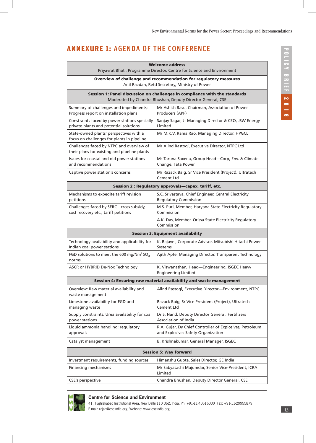# **ANNEXURE 1:** AGENDA OF THE CONFERENCE

| <b>Welcome address</b><br>Priyavrat Bhati, Programme Director, Centre for Science and Environment                                                    |                                                                                                                                          |  |  |
|------------------------------------------------------------------------------------------------------------------------------------------------------|------------------------------------------------------------------------------------------------------------------------------------------|--|--|
| Overview of challenge and recommendation for regulatory measures<br>Anil Razdan, Retd Secretary, Ministry of Power                                   |                                                                                                                                          |  |  |
|                                                                                                                                                      | Session 1: Panel discussion on challenges in compliance with the standards<br>Moderated by Chandra Bhushan, Deputy Director General, CSE |  |  |
| Summary of challenges and impediments;<br>Mr Ashish Basu, Chairman, Association of Power<br>Progress report on installation plans<br>Producers (APP) |                                                                                                                                          |  |  |
| Constraints faced by power stations specially<br>private plants and potential solutions                                                              | Sanjay Sagar, Jt Managing Director & CEO, JSW Energy<br>Limited                                                                          |  |  |
| State-owned plants' perspectives with a<br>focus on challenges for plants in pipeline                                                                | Mr M.K.V. Rama Rao, Managing Director, HPGCL                                                                                             |  |  |
| Challenges faced by NTPC and overview of<br>their plans for existing and pipeline plants                                                             | Mr Alind Rastogi, Executive Director, NTPC Ltd                                                                                           |  |  |
| Issues for coastal and old power stations<br>and recommendations                                                                                     | Ms Taruna Saxena, Group Head-Corp, Env. & Climate<br>Change, Tata Power                                                                  |  |  |
| Captive power station's concerns                                                                                                                     | Mr Razack Baig, Sr Vice President (Project), Ultratech<br>Cement Ltd                                                                     |  |  |
|                                                                                                                                                      | Session 2 : Regulatory approvals—capex, tariff, etc.                                                                                     |  |  |
| Mechanisms to expedite tariff revision<br>petitions                                                                                                  | S.C. Srivastava, Chief Engineer, Central Electricity<br><b>Regulatory Commission</b>                                                     |  |  |
| Challenges faced by SERC-cross subsidy,<br>cost recovery etc., tariff petitions                                                                      | M.S. Puri, Member, Haryana State Electricity Regulatory<br>Commission                                                                    |  |  |
|                                                                                                                                                      | A.K. Das, Member, Orissa State Electricity Regulatory<br>Commission                                                                      |  |  |
|                                                                                                                                                      | <b>Session 3: Equipment availability</b>                                                                                                 |  |  |
| Technology availability and applicability for<br>Indian coal power stations                                                                          | K. Rajavel, Corporate Advisor, Mitsubishi Hitachi Power<br>Systems                                                                       |  |  |
| FGD solutions to meet the 600 mg/Nm <sup>3</sup> SO <sub>x</sub><br>norms.                                                                           | Ajith Apte, Managing Director, Transparent Technology                                                                                    |  |  |
| ASCR or HYBRID De-Nox Technology                                                                                                                     | K. Viswanathan, Head-Engineering, ISGEC Heavy<br><b>Engineering Limited</b>                                                              |  |  |
|                                                                                                                                                      | Session 4: Ensuring raw material availability and waste management                                                                       |  |  |
| Overview: Raw material availability and<br>waste management                                                                                          | Alind Rastogi, Executive Director-Environment, NTPC                                                                                      |  |  |
| Limestone availability for FGD and<br>managing waste                                                                                                 | Razack Baig, Sr Vice President (Project), Ultratech<br>Cement Ltd                                                                        |  |  |
| Supply constraints: Urea availability for coal<br>power stations                                                                                     | Dr S. Nand, Deputy Director General, Fertilizers<br>Association of India                                                                 |  |  |
| Liquid ammonia handling: regulatory<br>approvals                                                                                                     | R.A. Gujar, Dy Chief Controller of Explosives, Petroleum<br>and Explosives Safety Organization                                           |  |  |
| Catalyst management                                                                                                                                  | B. Krishnakumar, General Manager, ISGEC                                                                                                  |  |  |
|                                                                                                                                                      | <b>Session 5: Way forward</b>                                                                                                            |  |  |
| Investment requirements, funding sources                                                                                                             | Himanshu Gupta, Sales Director, GE India                                                                                                 |  |  |
| Financing mechanisms                                                                                                                                 | Mr Sabyasachi Majumdar, Senior Vice-President, ICRA<br>Limited                                                                           |  |  |
| CSE's perspective                                                                                                                                    | Chandra Bhushan, Deputy Director General, CSE                                                                                            |  |  |



#### **Centre for Science and Environment**

41, Tughlakabad Institutional Area, New Delhi 110 062, India, Ph: +91-11-40616000 Fax: +91-11-29955879 E-mail: rajan@cseindia.org Website: www.cseindia.org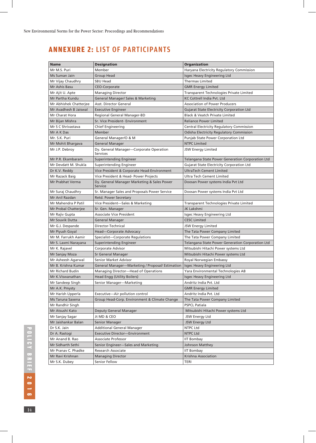# **ANNEXURE 2:** LIST OF PARTICIPANTS

| <b>Name</b>            | <b>Designation</b>                                         | <b>Organization</b>                              |
|------------------------|------------------------------------------------------------|--------------------------------------------------|
| Mr M.S. Puri           | Member                                                     | Haryana Electricity Regulatory Commission        |
| Ms Suman Jain          | Group Head                                                 | Isgec Heavy Engineering Ltd                      |
| Mr Vijay Chaudhry      | <b>SBU Head</b>                                            | <b>Thermax Limited</b>                           |
| Mr Ashis Basu          | <b>CEO-Corporate</b>                                       | <b>GMR Energy Limited</b>                        |
| Mr Ajit U. Apte        | <b>Managing Director</b>                                   | Transparent Technologies Private Limited         |
| Mr Partha Kundu        | <b>General Manager/ Sales &amp; Marketing</b>              | <b>KC Cottrell India Pvt. Ltd</b>                |
| Mr Abhishek Chatterjee | Asst. Director General                                     | <b>Association of Power Producers</b>            |
| Mr Avadhesh B Jaiswal  | <b>Executive Engineer</b>                                  | <b>Gujarat State Electricity Corporation Ltd</b> |
| Mr Charat Hora         | Regional General Manager-BD                                | <b>Black &amp; Veatch Private Limited</b>        |
| Mr Bijan Mishra        | Sr. Vice President- Environment                            | <b>Reliance Power Limited</b>                    |
| Mr S C Shrivastava     | Chief Engineering                                          | Central Electricity Regulatory Commission        |
| Mr A K Das             | Member                                                     | <b>Odisha Electricity Regulatory Commission</b>  |
| Mr. S.K. Puri          | General Manager/O & M                                      | Punjab State Power Corporation Ltd               |
| Mr Mohit Bhargava      | General Manager                                            | <b>NTPC Limited</b>                              |
| Mr J.P. Debroy         | Dy. General Manager-Corporate Operation<br><b>Services</b> | JSW Energy Limited                               |
| Mr P.R. Ekambaram      | Superintending Engineer                                    | Telangana State Power Generation Corporation Ltd |
| Mr Devdatt M. Shukla   | Superintending Engineer                                    | <b>Gujarat State Electricity Corporation Ltd</b> |
| Dr K.V. Reddy          | Vice President & Corporate Head-Environment                | <b>UltraTech Cement Limited</b>                  |
| Mr Razack Baig         | Vice President & Head- Power Projects                      | Ultra Tech Cement Limited                        |
| Mr Prabhat Verma       | Dy. General Manager Marketing & Sales Power<br>Service     | Doosan Power systems India Pvt Ltd               |
| Mr Suraj Chaudhry      | Sr. Manager Sales and Proposals Power Service              | Doosan Power systems India Pvt Ltd               |
| Mr Anil Razdan         | Retd. Power Secretary                                      |                                                  |
| Mr Mahendra P Patil    | Vice President-Sales & Marketing                           | Transparent Technologies Private Limited         |
| Mr Probal Chatterjee   | Sr. Gen. Manager                                           | JK Lakshmi                                       |
| Mr Rajiv Gupta         | Associate Vice President                                   | Isgec Heavy Engineering Ltd                      |
| Mr Souvik Dutta        | General Manager                                            | <b>CESC Limited</b>                              |
| Mr G.J. Despande       | Director-Technical                                         | JSW Energy Limited                               |
| Mr Piyush Goyal        | Head-Corporate Advocacy                                    | The Tata Power Company Limited                   |
| Mr M. Farrukh Aamir    | Specialist-Corporate Regulations                           | The Tata Power Company Limited                   |
| Mr S. Laxmi Narayana   | Superintending Engineer                                    | Telangana State Power Generation Corporation Ltd |
| Mr K. Rajavel          | Corporate Advisor                                          | Mitsubishi Hitachi Power systems Ltd             |
| Mr Sanjay Moza         | Sr General Manager                                         | Mitsubishi Hitachi Power systems Ltd             |
| Mr Asheesh Agarwal     | Senior Market Advisor                                      | Royal Norwegian Embassy                          |
| Mr B. Krishna Kumar    | General Manager-Marketing / Proposal/ Estimation           | Isgec Heavy Engineering Ltd                      |
| Mr Richard Budin       | Managing Director—Head of Operations                       | Yara Environmental Technologies AB               |
| Mr K.Viswanathan       | Head Engg (Utility Boilers)                                | Isgec Heavy Engineering Ltd                      |
| Mr Sandeep Singh       | Senior Manager-Marketing                                   | Andritz India Pvt. Ltd                           |
| Mr A.K. Pmysty         |                                                            | <b>GMR Energy Limited</b>                        |
| Mr Harish Upperla      | Executive-Air pollution control                            | Andritz India Pvt. Ltd                           |
| Ms Taruna Saxena       | Group Head-Corp. Environment & Climate Change              | The Tata Power Company Limited                   |
| Mr Randhir Singh       |                                                            | <b>PSPCL Patiala</b>                             |
| Mr Atsushi Kato        | Deputy General Manager                                     | Mitsubishi Hitachi Power systems Ltd             |
| Mr Sanjay Sagar        | Jt MD & CEO                                                | JSW Energy Ltd                                   |
| Mr Jaishankar Balan    | Senior Manager                                             | JSW Energy Ltd                                   |
| Dr S.K. Jain           | <b>Additional General Manager</b>                          | NTPC Ltd                                         |
| Dr A. Rastogi          | Executive Director-Environment                             | NTPC Ltd                                         |
| Mr Anand B. Rao        | Associate Professor                                        | <b>IIT Bombay</b>                                |
| Mr Sidharth Sethi      | Senior Engineer-Sales and Marketing                        | <b>Johnson Matthey</b>                           |
| Mr Pranav C. Phadke    | Research Associate                                         | <b>IIT Bombay</b>                                |
| Mr Ravi Krishnan       | <b>Managing Director</b>                                   | Krishna Association                              |
| Mr S.K. Dubey          | Senior Fellow                                              | TERI                                             |